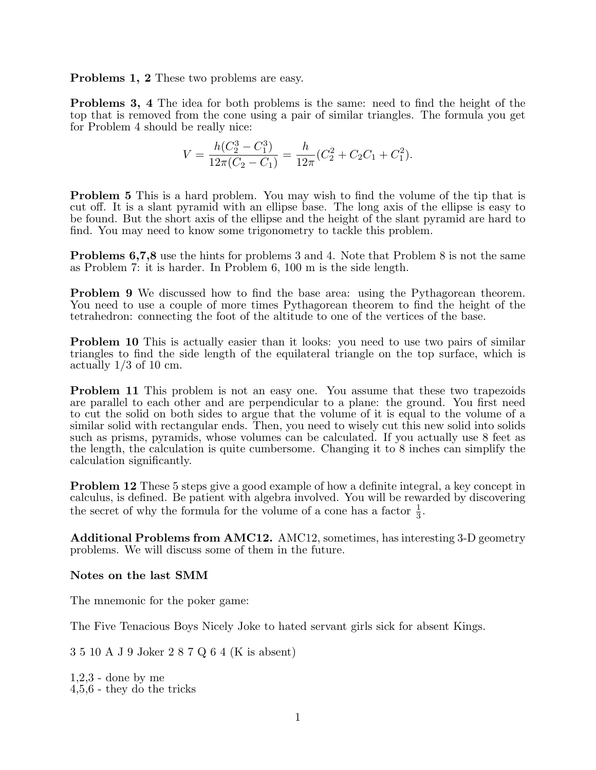Problems 1, 2 These two problems are easy.

Problems 3, 4 The idea for both problems is the same: need to find the height of the top that is removed from the cone using a pair of similar triangles. The formula you get for Problem 4 should be really nice:

$$
V = \frac{h(C_2^3 - C_1^3)}{12\pi(C_2 - C_1)} = \frac{h}{12\pi}(C_2^2 + C_2C_1 + C_1^2).
$$

Problem 5 This is a hard problem. You may wish to find the volume of the tip that is cut off. It is a slant pyramid with an ellipse base. The long axis of the ellipse is easy to be found. But the short axis of the ellipse and the height of the slant pyramid are hard to find. You may need to know some trigonometry to tackle this problem.

Problems 6,7,8 use the hints for problems 3 and 4. Note that Problem 8 is not the same as Problem 7: it is harder. In Problem 6, 100 m is the side length.

Problem 9 We discussed how to find the base area: using the Pythagorean theorem. You need to use a couple of more times Pythagorean theorem to find the height of the tetrahedron: connecting the foot of the altitude to one of the vertices of the base.

**Problem 10** This is actually easier than it looks: you need to use two pairs of similar triangles to find the side length of the equilateral triangle on the top surface, which is actually  $1/3$  of 10 cm.

Problem 11 This problem is not an easy one. You assume that these two trapezoids are parallel to each other and are perpendicular to a plane: the ground. You first need to cut the solid on both sides to argue that the volume of it is equal to the volume of a similar solid with rectangular ends. Then, you need to wisely cut this new solid into solids such as prisms, pyramids, whose volumes can be calculated. If you actually use 8 feet as the length, the calculation is quite cumbersome. Changing it to 8 inches can simplify the calculation significantly.

Problem 12 These 5 steps give a good example of how a definite integral, a key concept in calculus, is defined. Be patient with algebra involved. You will be rewarded by discovering the secret of why the formula for the volume of a cone has a factor  $\frac{1}{3}$ .

Additional Problems from AMC12. AMC12, sometimes, has interesting 3-D geometry problems. We will discuss some of them in the future.

Notes on the last SMM

The mnemonic for the poker game:

The Five Tenacious Boys Nicely Joke to hated servant girls sick for absent Kings.

3 5 10 A J 9 Joker 2 8 7 Q 6 4 (K is absent)

1,2,3 - done by me 4,5,6 - they do the tricks